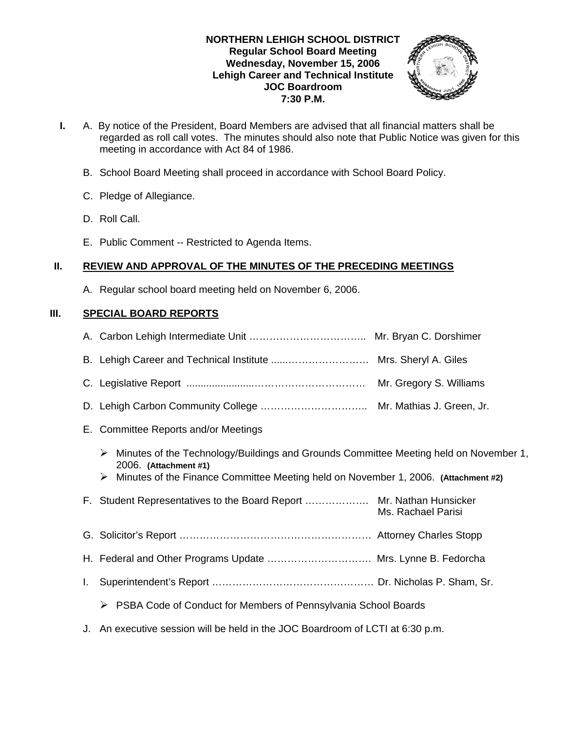#### **NORTHERN LEHIGH SCHOOL DISTRICT Regular School Board Meeting Wednesday, November 15, 2006 Lehigh Career and Technical Institute JOC Boardroom 7:30 P.M.**



- **I.** A. By notice of the President, Board Members are advised that all financial matters shall be regarded as roll call votes. The minutes should also note that Public Notice was given for this meeting in accordance with Act 84 of 1986.
	- B. School Board Meeting shall proceed in accordance with School Board Policy.
	- C. Pledge of Allegiance.
	- D. Roll Call.
	- E. Public Comment -- Restricted to Agenda Items.

# **II. REVIEW AND APPROVAL OF THE MINUTES OF THE PRECEDING MEETINGS**

A. Regular school board meeting held on November 6, 2006.

# **III. SPECIAL BOARD REPORTS**

|    | E. Committee Reports and/or Meetings                                                                                                                                                                      |                    |
|----|-----------------------------------------------------------------------------------------------------------------------------------------------------------------------------------------------------------|--------------------|
|    | Minutes of the Technology/Buildings and Grounds Committee Meeting held on November 1,<br>2006. (Attachment #1)<br>Minutes of the Finance Committee Meeting held on November 1, 2006. (Attachment #2)<br>➤ |                    |
|    | F. Student Representatives to the Board Report  Mr. Nathan Hunsicker                                                                                                                                      | Ms. Rachael Parisi |
|    |                                                                                                                                                                                                           |                    |
|    | H. Federal and Other Programs Update  Mrs. Lynne B. Fedorcha                                                                                                                                              |                    |
| L. |                                                                                                                                                                                                           |                    |
|    | PSBA Code of Conduct for Members of Pennsylvania School Boards<br>➤                                                                                                                                       |                    |
|    | J. An executive session will be held in the JOC Boardroom of LCTI at 6:30 p.m.                                                                                                                            |                    |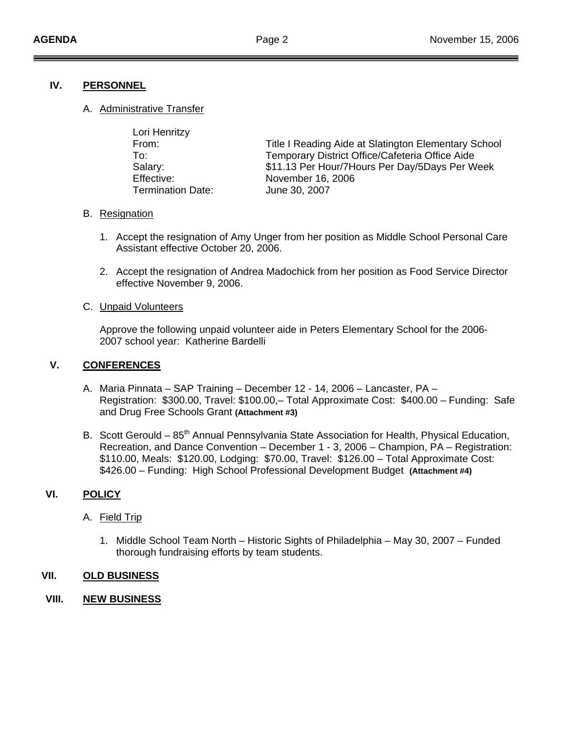## **IV. PERSONNEL**

A. Administrative Transfer

| Lori Henritzy            |                                                      |
|--------------------------|------------------------------------------------------|
| From:                    | Title I Reading Aide at Slatington Elementary School |
| To:                      | Temporary District Office/Cafeteria Office Aide      |
| Salary:                  | \$11.13 Per Hour/7 Hours Per Day/5 Days Per Week     |
| Effective:               | November 16, 2006                                    |
| <b>Termination Date:</b> | June 30, 2007                                        |

#### B. Resignation

- 1. Accept the resignation of Amy Unger from her position as Middle School Personal Care Assistant effective October 20, 2006.
- 2. Accept the resignation of Andrea Madochick from her position as Food Service Director effective November 9, 2006.

#### C. Unpaid Volunteers

 Approve the following unpaid volunteer aide in Peters Elementary School for the 2006- 2007 school year: Katherine Bardelli

## **V. CONFERENCES**

- A. Maria Pinnata SAP Training December 12 14, 2006 Lancaster, PA Registration: \$300.00, Travel: \$100.00,– Total Approximate Cost: \$400.00 – Funding: Safe and Drug Free Schools Grant **(Attachment #3)**
- B. Scott Gerould 85<sup>th</sup> Annual Pennsylvania State Association for Health, Physical Education, Recreation, and Dance Convention – December 1 - 3, 2006 – Champion, PA – Registration: \$110.00, Meals: \$120.00, Lodging: \$70.00, Travel: \$126.00 – Total Approximate Cost: \$426.00 – Funding: High School Professional Development Budget **(Attachment #4)**

## **VI. POLICY**

## A. Field Trip

1. Middle School Team North – Historic Sights of Philadelphia – May 30, 2007 – Funded thorough fundraising efforts by team students.

## **VII. OLD BUSINESS**

**VIII. NEW BUSINESS**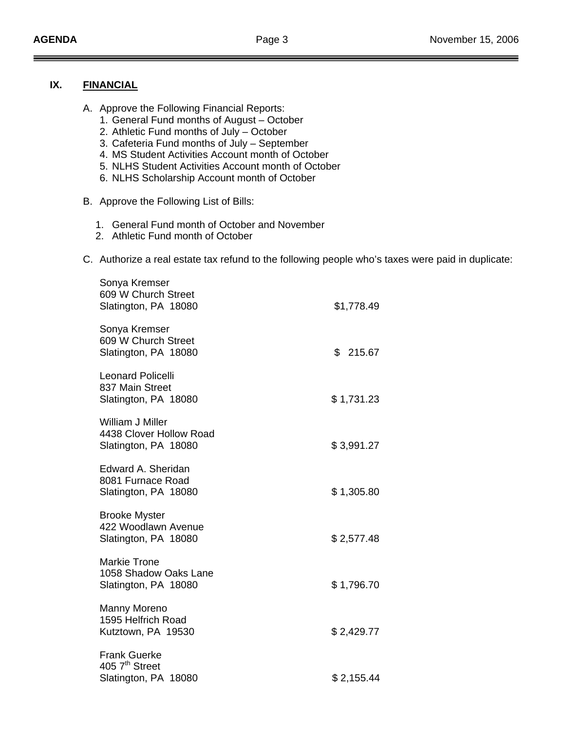## **IX. FINANCIAL**

- A. Approve the Following Financial Reports:
	- 1. General Fund months of August October
	- 2. Athletic Fund months of July October
	- 3. Cafeteria Fund months of July September
	- 4. MS Student Activities Account month of October
	- 5. NLHS Student Activities Account month of October
	- 6. NLHS Scholarship Account month of October
- B. Approve the Following List of Bills:
	- 1. General Fund month of October and November
	- 2. Athletic Fund month of October
- C. Authorize a real estate tax refund to the following people who's taxes were paid in duplicate:

| Sonya Kremser<br>609 W Church Street<br>Slatington, PA 18080               | \$1,778.49   |
|----------------------------------------------------------------------------|--------------|
| Sonya Kremser<br>609 W Church Street<br>Slatington, PA 18080               | \$<br>215.67 |
| <b>Leonard Policelli</b><br>837 Main Street<br>Slatington, PA 18080        | \$1,731.23   |
| <b>William J Miller</b><br>4438 Clover Hollow Road<br>Slatington, PA 18080 | \$3,991.27   |
| Edward A. Sheridan<br>8081 Furnace Road<br>Slatington, PA 18080            | \$1,305.80   |
| <b>Brooke Myster</b><br>422 Woodlawn Avenue<br>Slatington, PA 18080        | \$2,577.48   |
| <b>Markie Trone</b><br>1058 Shadow Oaks Lane<br>Slatington, PA 18080       | \$1,796.70   |
| Manny Moreno<br>1595 Helfrich Road<br>Kutztown, PA 19530                   | \$2,429.77   |
| <b>Frank Guerke</b><br>405 7 <sup>th</sup> Street<br>Slatington, PA 18080  | \$2,155.44   |